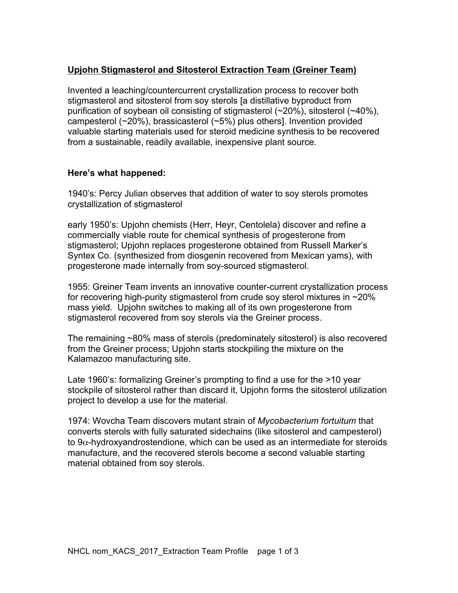# **Upjohn Stigmasterol and Sitosterol Extraction Team (Greiner Team)**

Invented a leaching/countercurrent crystallization process to recover both stigmasterol and sitosterol from soy sterols [a distillative byproduct from purification of soybean oil consisting of stigmasterol (~20%), sitosterol (~40%), campesterol (~20%), brassicasterol (~5%) plus others]. Invention provided valuable starting materials used for steroid medicine synthesis to be recovered from a sustainable, readily available, inexpensive plant source.

# **Here's what happened:**

1940's: Percy Julian observes that addition of water to soy sterols promotes crystallization of stigmasterol

early 1950's: Upjohn chemists (Herr, Heyr, Centolela) discover and refine a commercially viable route for chemical synthesis of progesterone from stigmasterol; Upjohn replaces progesterone obtained from Russell Marker's Syntex Co. (synthesized from diosgenin recovered from Mexican yams), with progesterone made internally from soy-sourced stigmasterol.

1955: Greiner Team invents an innovative counter-current crystallization process for recovering high-purity stigmasterol from crude soy sterol mixtures in ~20% mass yield. Upjohn switches to making all of its own progesterone from stigmasterol recovered from soy sterols via the Greiner process.

The remaining ~80% mass of sterols (predominately sitosterol) is also recovered from the Greiner process; Upjohn starts stockpiling the mixture on the Kalamazoo manufacturing site.

Late 1960's: formalizing Greiner's prompting to find a use for the >10 year stockpile of sitosterol rather than discard it, Upjohn forms the sitosterol utilization project to develop a use for the material.

1974: Wovcha Team discovers mutant strain of *Mycobacterium fortuitum* that converts sterols with fully saturated sidechains (like sitosterol and campesterol) to  $9\alpha$ -hydroxyandrostendione, which can be used as an intermediate for steroids manufacture, and the recovered sterols become a second valuable starting material obtained from soy sterols.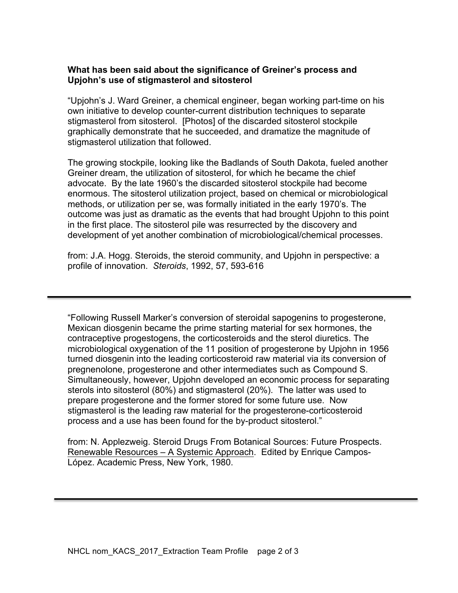## **What has been said about the significance of Greiner's process and Upjohn's use of stigmasterol and sitosterol**

"Upjohn's J. Ward Greiner, a chemical engineer, began working part-time on his own initiative to develop counter-current distribution techniques to separate stigmasterol from sitosterol. [Photos] of the discarded sitosterol stockpile graphically demonstrate that he succeeded, and dramatize the magnitude of stigmasterol utilization that followed.

The growing stockpile, looking like the Badlands of South Dakota, fueled another Greiner dream, the utilization of sitosterol, for which he became the chief advocate. By the late 1960's the discarded sitosterol stockpile had become enormous. The sitosterol utilization project, based on chemical or microbiological methods, or utilization per se, was formally initiated in the early 1970's. The outcome was just as dramatic as the events that had brought Upjohn to this point in the first place. The sitosterol pile was resurrected by the discovery and development of yet another combination of microbiological/chemical processes.

from: J.A. Hogg. Steroids, the steroid community, and Upjohn in perspective: a profile of innovation. *Steroids*, 1992, 57, 593-616

"Following Russell Marker's conversion of steroidal sapogenins to progesterone, Mexican diosgenin became the prime starting material for sex hormones, the contraceptive progestogens, the corticosteroids and the sterol diuretics. The microbiological oxygenation of the 11 position of progesterone by Upjohn in 1956 turned diosgenin into the leading corticosteroid raw material via its conversion of pregnenolone, progesterone and other intermediates such as Compound S. Simultaneously, however, Upjohn developed an economic process for separating sterols into sitosterol (80%) and stigmasterol (20%). The latter was used to prepare progesterone and the former stored for some future use. Now stigmasterol is the leading raw material for the progesterone-corticosteroid process and a use has been found for the by-product sitosterol."

from: N. Applezweig. Steroid Drugs From Botanical Sources: Future Prospects. Renewable Resources – A Systemic Approach. Edited by Enrique Campos-López. Academic Press, New York, 1980.